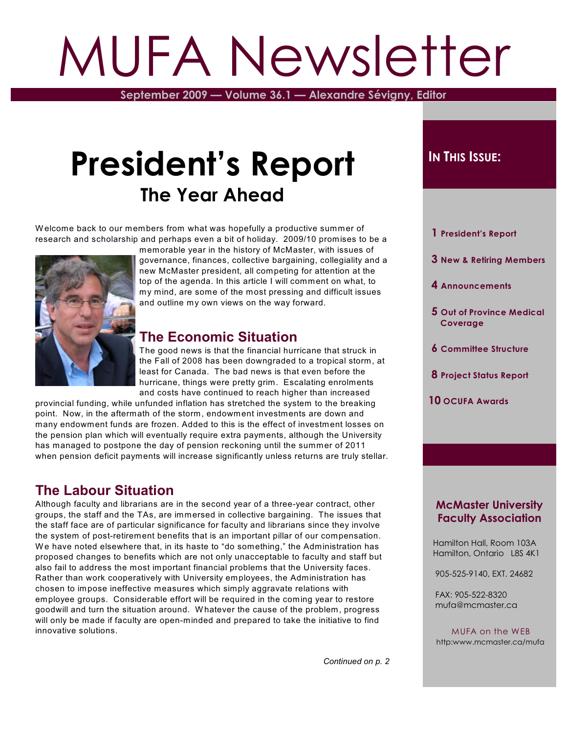# MUFA Newsletter

**September 2009 — Volume 36.1 — Alexandre Sévigny, Editor**

# **President's Report The Year Ahead**

W elcome back to our members from what was hopefully a productive summer of research and scholarship and perhaps even a bit of holiday. 2009/10 promises to be a



memorable year in the history of McMaster, with issues of governance, finances, collective bargaining, collegiality and a new McMaster president, all competing for attention at the top of the agenda. In this article I will comment on what, to my mind, are some of the most pressing and difficult issues and outline my own views on the way forward.

## **The Economic Situation**

The good news is that the financial hurricane that struck in the Fall of 2008 has been downgraded to a tropical storm, at least for Canada. The bad news is that even before the hurricane, things were pretty grim. Escalating enrolments and costs have continued to reach higher than increased

provincial funding, while unfunded inflation has stretched the system to the breaking point. Now, in the aftermath of the storm, endowment investments are down and many endowment funds are frozen. Added to this is the effect of investment losses on the pension plan which will eventually require extra payments, although the University has managed to postpone the day of pension reckoning until the summer of 2011 when pension deficit payments will increase significantly unless returns are truly stellar.

### **The Labour Situation**

Although faculty and librarians are in the second year of a three-year contract, other groups, the staff and the TAs, are immersed in collective bargaining. The issues that the staff face are of particular significance for faculty and librarians since they involve the system of post-retirement benefits that is an important pillar of our compensation. We have noted elsewhere that, in its haste to "do something," the Administration has proposed changes to benefits which are not only unacceptable to faculty and staff but also fail to address the most important financial problems that the University faces. Rather than work cooperatively with University employees, the Administration has chosen to impose ineffective measures which simply aggravate relations with employee groups. Considerable effort will be required in the coming year to restore goodwill and turn the situation around. W hatever the cause of the problem, progress will only be made if faculty are open-minded and prepared to take the initiative to find innovative solutions.

### $I$ **N THIS** *ISSUE***:**

 **1 President's Report**

- **3 New & Retiring Members**
- **4 Announcements**
- **5 Out of Province Medical Coverage**
- **6 Committee Structure**
- **8 Project Status Report**
- **10 OCUFA Awards**

### **McMaster University Faculty Association**

 Hamilton Hall, Room 103A Hamilton, Ontario L8S 4K1

905-525-9140, EXT. 24682

 FAX: 905-522-8320 mufa@mcmaster.ca

MUFA on the WEB http:www.mcmaster.ca/mufa

*Continued on p. 2*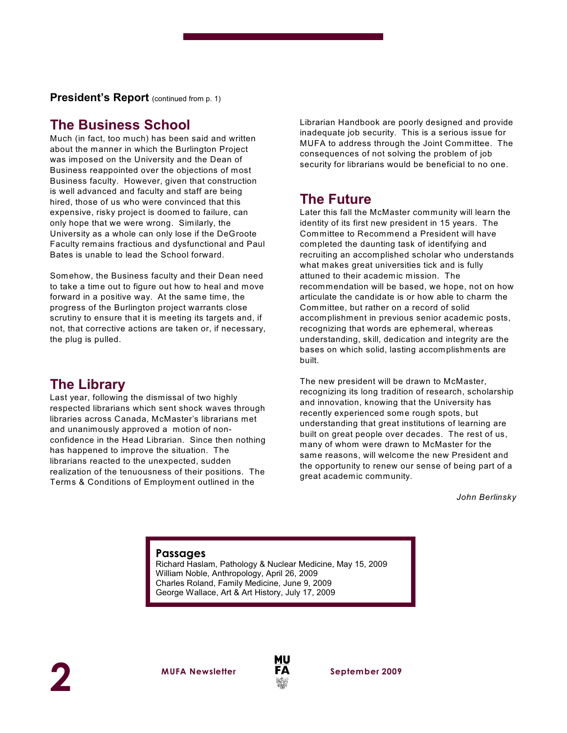**President's Report** (continued from p. 1)

### **The Business School**

Much (in fact, too much) has been said and written about the manner in which the Burlington Project was imposed on the University and the Dean of Business reappointed over the objections of most Business faculty. However, given that construction is well advanced and faculty and staff are being hired, those of us who were convinced that this expensive, risky project is doomed to failure, can only hope that we were wrong. Similarly, the University as a whole can only lose if the DeGroote Faculty remains fractious and dysfunctional and Paul Bates is unable to lead the School forward.

Somehow, the Business faculty and their Dean need to take a time out to figure out how to heal and move forward in a positive way. At the same time, the progress of the Burlington project warrants close scrutiny to ensure that it is meeting its targets and, if not, that corrective actions are taken or, if necessary, the plug is pulled.

### **The Library**

Last year, following the dismissal of two highly respected librarians which sent shock waves through libraries across Canada, McMaster's librarians met and unanimously approved a motion of nonconfidence in the Head Librarian. Since then nothing has happened to improve the situation. The librarians reacted to the unexpected, sudden realization of the tenuousness of their positions. The Terms & Conditions of Employment outlined in the

Librarian Handbook are poorly designed and provide inadequate job security. This is a serious issue for MUFA to address through the Joint Committee. The consequences of not solving the problem of job security for librarians would be beneficial to no one.

### **The Future**

Later this fall the McMaster community will learn the identity of its first new president in 15 years. The Committee to Recommend a President will have completed the daunting task of identifying and recruiting an accomplished scholar who understands what makes great universities tick and is fully attuned to their academic mission. The recommendation will be based, we hope, not on how articulate the candidate is or how able to charm the Committee, but rather on a record of solid accomplishment in previous senior academic posts, recognizing that words are ephemeral, whereas understanding, skill, dedication and integrity are the bases on which solid, lasting accomplishments are built.

The new president will be drawn to McMaster, recognizing its long tradition of research, scholarship and innovation, knowing that the University has recently experienced some rough spots, but understanding that great institutions of learning are built on great people over decades. The rest of us, many of whom were drawn to McMaster for the same reasons, will welcome the new President and the opportunity to renew our sense of being part of a great academic community.

*John Berlinsky*

### **Passages**

Richard Haslam, Pathology & Nuclear Medicine, May 15, 2009 William Noble, Anthropology, April 26, 2009 Charles Roland, Family Medicine, June 9, 2009 George Wallace, Art & Art History, July 17, 2009

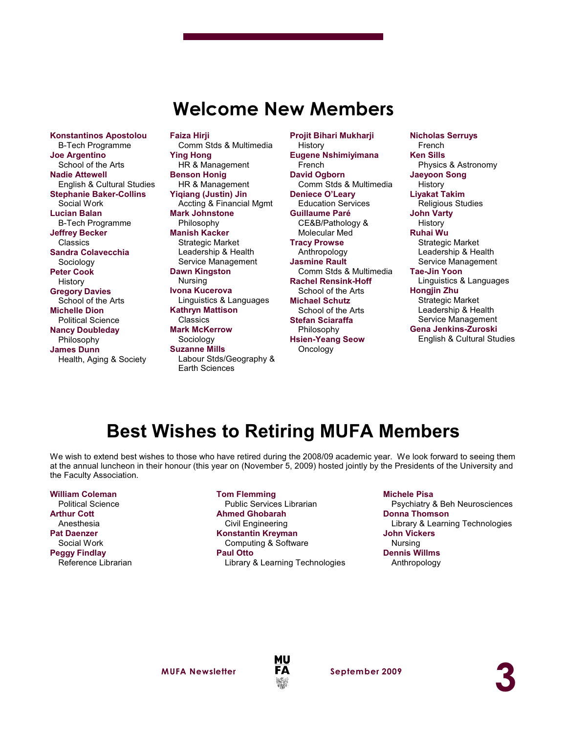# **Welcome New Members**

**Konstantinos Apostolou** B-Tech Programme **Joe Argentino** School of the Arts **Nadie Attewell** English & Cultural Studies **Stephanie Baker-Collins** Social Work **Lucian Balan** B-Tech Programme **Jeffrey Becker** Classics **Sandra Colavecchia** Sociology **Peter Cook** History **Gregory Davies** School of the Arts **Michelle Dion** Political Science **Nancy Doubleday** Philosophy **James Dunn** Health, Aging & Society

**Faiza Hirji** Comm Stds & Multimedia **Ying Hong** HR & Management **Benson Honig** HR & Management **Yiqiang (Justin) Jin** Accting & Financial Mgmt **Mark Johnstone** Philosophy **Manish Kacker** Strategic Market Leadership & Health Service Management **Dawn Kingston** Nursing **Ivona Kucerova** Linguistics & Languages **Kathryn Mattison Classics Mark McKerrow** Sociology **Suzanne Mills** Labour Stds/Geography & Earth Sciences

**Projit Bihari Mukharji** History **Eugene Nshimiyimana** French **David Ogborn** Comm Stds & Multimedia **Deniece O'Leary** Education Services **Guillaume Paré** CE&B/Pathology & Molecular Med **Tracy Prowse** Anthropology **Jasmine Rault** Comm Stds & Multimedia **Rachel Rensink-Hoff** School of the Arts **Michael Schutz** School of the Arts **Stefan Sciaraffa** Philosophy **Hsien-Yeang Seow Oncology** 

**Nicholas Serruys** French **Ken Sills** Physics & Astronomy **Jaeyoon Song** History **Liyakat Takim** Religious Studies **John Varty** History **Ruhai Wu** Strategic Market Leadership & Health Service Management **Tae-Jin Yoon** Linguistics & Languages **Hongjin Zhu** Strategic Market Leadership & Health Service Management **Gena Jenkins-Zuroski** English & Cultural Studies

# **Best Wishes to Retiring MUFA Members**

We wish to extend best wishes to those who have retired during the 2008/09 academic year. We look forward to seeing them at the annual luncheon in their honour (this year on (November 5, 2009) hosted jointly by the Presidents of the University and the Faculty Association.

#### **William Coleman**

Political Science **Arthur Cott** Anesthesia **Pat Daenzer** Social Work **Peggy Findlay** Reference Librarian **Tom Flemming**

Public Services Librarian **Ahmed Ghobarah** Civil Engineering **Konstantin Kreyman** Computing & Software **Paul Otto** Library & Learning Technologies

#### **Michele Pisa**

Psychiatry & Beh Neurosciences **Donna Thomson** Library & Learning Technologies **John Vickers** Nursing **Dennis Willms** Anthropology

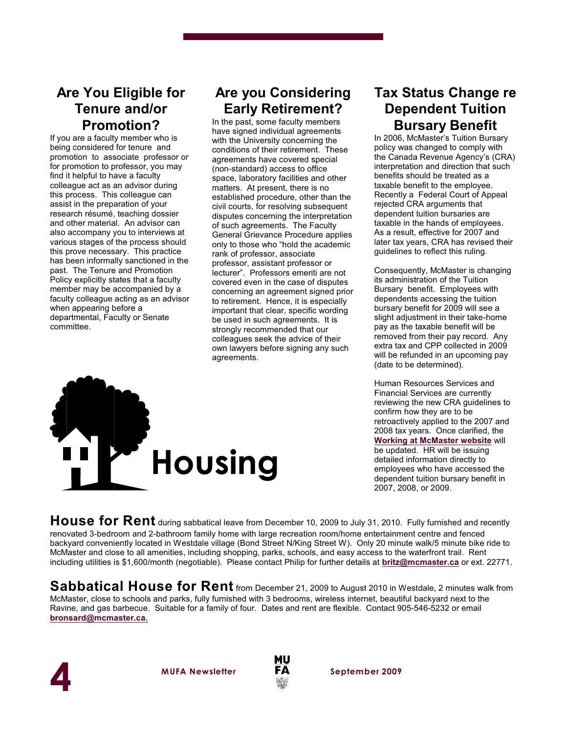### **Are You Eligible for Tenure and/or Promotion?**

If you are a faculty member who is being considered for tenure and promotion to associate professor or for promotion to professor, you may find it helpful to have a faculty colleague act as an advisor during this process. This colleague can assist in the preparation of your research résumé, teaching dossier and other material. An advisor can also accompany you to interviews at various stages of the process should this prove necessary. This practice has been informally sanctioned in the past. The Tenure and Promotion Policy explicitly states that a faculty member may be accompanied by a faculty colleague acting as an advisor when appearing before a departmental, Faculty or Senate committee.

# **Are you Considering Early Retirement?**

In the past, some faculty members have signed individual agreements with the University concerning the conditions of their retirement. These agreements have covered special (non-standard) access to office space, laboratory facilities and other matters. At present, there is no established procedure, other than the civil courts, for resolving subsequent disputes concerning the interpretation of such agreements. The Faculty General Grievance Procedure applies only to those who "hold the academic rank of professor, associate professor, assistant professor or lecturer". Professors emeriti are not covered even in the case of disputes concerning an agreement signed prior to retirement. Hence, it is especially important that clear, specific wording be used in such agreements. It is strongly recommended that our colleagues seek the advice of their own lawyers before signing any such agreements.



# **Tax Status Change re Dependent Tuition Bursary Benefit**

In 2006, McMaster's Tuition Bursary policy was changed to comply with the Canada Revenue Agency's (CRA) interpretation and direction that such benefits should be treated as a taxable benefit to the employee. Recently a Federal Court of Appeal rejected CRA arguments that dependent tuition bursaries are taxable in the hands of employees. As a result, effective for 2007 and later tax years, CRA has revised their guidelines to reflect this ruling.

Consequently, McMaster is changing its administration of the Tuition Bursary benefit. Employees with dependents accessing the tuition bursary benefit for 2009 will see a slight adjustment in their take-home pay as the taxable benefit will be removed from their pay record. Any extra tax and CPP collected in 2009 will be refunded in an upcoming pay (date to be determined).

Human Resources Services and Financial Services are currently reviewing the new CRA guidelines to confirm how they are to be retroactively applied to the 2007 and 2008 tax years. Once clarified, the **[Working at McMaster website](http://www.workingatmcmaster.ca/)** will be updated. HR will be issuing detailed information directly to employees who have accessed the dependent tuition bursary benefit in 2007, 2008, or 2009.

**House for Rent** during sabbatical leave from December 10, 2009 to July 31, 2010. Fully furnished and recently renovated 3-bedroom and 2-bathroom family home with large recreation room/home entertainment centre and fenced backyard conveniently located in Westdale village (Bond Street N/King Street W). Only 20 minute walk/5 minute bike ride to McMaster and close to all amenities, including shopping, parks, schools, and easy access to the waterfront trail. Rent including utilities is \$1,600/month (negotiable). Please contact Philip for further details at **[britz@mcmaster.ca](mailto:britz@mcmaster.ca)** or ext. 22771.

**Sabbatical House for Rent** from December 21, 2009 to August 2010 in Westdale, 2 minutes walk from McMaster, close to schools and parks, fully furnished with 3 bedrooms, wireless internet, beautiful backyard next to the Ravine, and gas barbecue. Suitable for a family of four. Dates and rent are flexible. Contact 905-546-5232 or email **[bronsard@mcmaster.ca.](mailto:bronsard@mcmaster.ca.)**



**MUFA Newsletter September 2009**

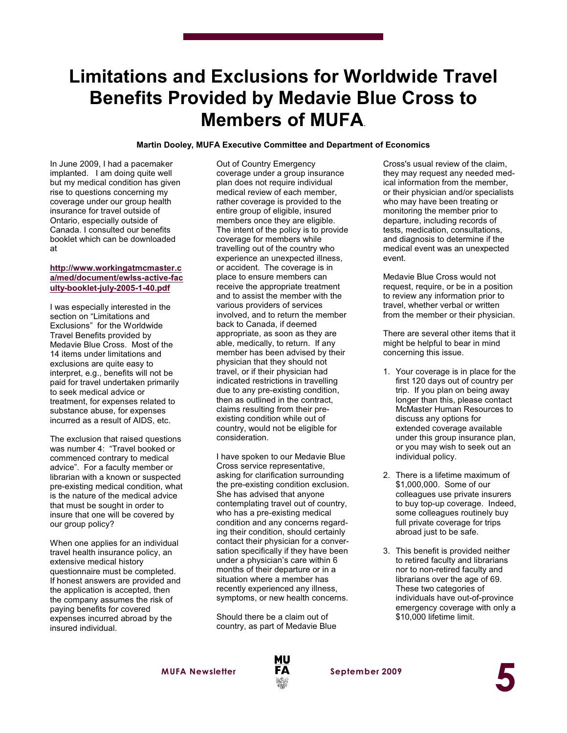# **Limitations and Exclusions for Worldwide Travel Benefits Provided by Medavie Blue Cross to Members of MUFA**.

#### **Martin Dooley, MUFA Executive Committee and Department of Economics**

In June 2009, I had a pacemaker implanted. I am doing quite well but my medical condition has given rise to questions concerning my coverage under our group health insurance for travel outside of Ontario, especially outside of Canada. I consulted our benefits booklet which can be downloaded at

#### **[http://www.workingatmcmaster.c](http://www.workingatmcmaster.ca/med/document/ewlss-active-faculty-booklet-july-2005-1-40.pdf) [a/med/document/ewlss-active-fac](http://www.workingatmcmaster.ca/med/document/ewlss-active-faculty-booklet-july-2005-1-40.pdf) [ulty-booklet-july-2005-1-40.pdf](http://www.workingatmcmaster.ca/med/document/ewlss-active-faculty-booklet-july-2005-1-40.pdf)**

I was especially interested in the section on "Limitations and Exclusions" for the Worldwide Travel Benefits provided by Medavie Blue Cross. Most of the 14 items under limitations and exclusions are quite easy to interpret, e.g., benefits will not be paid for travel undertaken primarily to seek medical advice or treatment, for expenses related to substance abuse, for expenses incurred as a result of AIDS, etc.

The exclusion that raised questions was number 4: "Travel booked or commenced contrary to medical advice". For a faculty member or librarian with a known or suspected pre-existing medical condition, what is the nature of the medical advice that must be sought in order to insure that one will be covered by our group policy?

When one applies for an individual travel health insurance policy, an extensive medical history questionnaire must be completed. If honest answers are provided and the application is accepted, then the company assumes the risk of paying benefits for covered expenses incurred abroad by the insured individual.

Out of Country Emergency coverage under a group insurance plan does not require individual medical review of each member, rather coverage is provided to the entire group of eligible, insured members once they are eligible. The intent of the policy is to provide coverage for members while travelling out of the country who experience an unexpected illness, or accident. The coverage is in place to ensure members can receive the appropriate treatment and to assist the member with the various providers of services involved, and to return the member back to Canada, if deemed appropriate, as soon as they are able, medically, to return. If any member has been advised by their physician that they should not travel, or if their physician had indicated restrictions in travelling due to any pre-existing condition, then as outlined in the contract, claims resulting from their preexisting condition while out of country, would not be eligible for consideration.

I have spoken to our Medavie Blue Cross service representative, asking for clarification surrounding the pre-existing condition exclusion. She has advised that anyone contemplating travel out of country, who has a pre-existing medical condition and any concerns regarding their condition, should certainly contact their physician for a conversation specifically if they have been under a physician's care within 6 months of their departure or in a situation where a member has recently experienced any illness, symptoms, or new health concerns.

Should there be a claim out of country, as part of Medavie Blue

Cross's usual review of the claim, they may request any needed medical information from the member, or their physician and/or specialists who may have been treating or monitoring the member prior to departure, including records of tests, medication, consultations, and diagnosis to determine if the medical event was an unexpected event.

Medavie Blue Cross would not request, require, or be in a position to review any information prior to travel, whether verbal or written from the member or their physician.

There are several other items that it might be helpful to bear in mind concerning this issue.

- 1. Your coverage is in place for the first 120 days out of country per trip. If you plan on being away longer than this, please contact McMaster Human Resources to discuss any options for extended coverage available under this group insurance plan, or you may wish to seek out an individual policy.
- 2. There is a lifetime maximum of \$1,000,000. Some of our colleagues use private insurers to buy top-up coverage. Indeed, some colleagues routinely buy full private coverage for trips abroad just to be safe.
- 3. This benefit is provided neither to retired faculty and librarians nor to non-retired faculty and librarians over the age of 69. These two categories of individuals have out-of-province emergency coverage with only a \$10,000 lifetime limit.

**MUFA Newsletter September 2009**



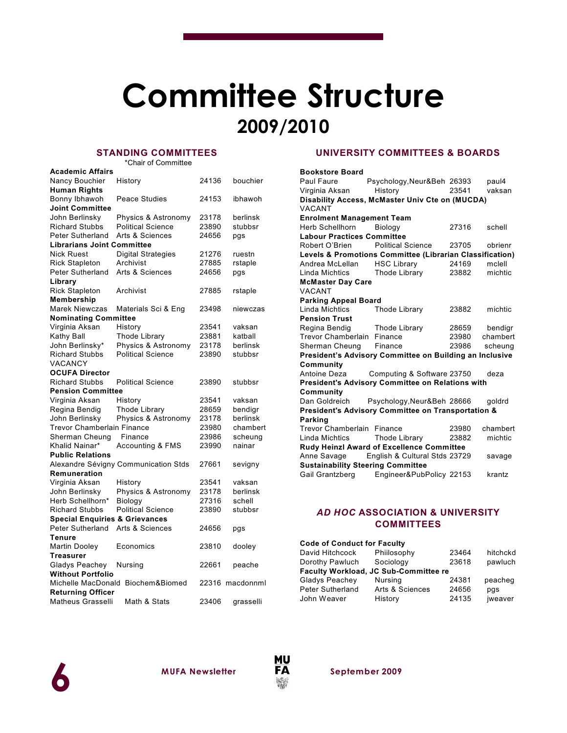# **Committee Structure 2009/2010**

### **STANDING COMMITTEES**

\*Chair of Committee

| <b>Academic Affairs</b>                           |                             |       |           |  |
|---------------------------------------------------|-----------------------------|-------|-----------|--|
| Nancy Bouchier                                    | History                     | 24136 | bouchier  |  |
| <b>Human Rights</b>                               |                             |       |           |  |
| Bonny Ibhawoh                                     | Peace Studies               | 24153 | ibhawoh   |  |
| <b>Joint Committee</b>                            |                             |       |           |  |
| John Berlinsky                                    | Physics & Astronomy         | 23178 | berlinsk  |  |
| <b>Richard Stubbs</b>                             | <b>Political Science</b>    | 23890 | stubbsr   |  |
| Peter Sutherland                                  | Arts & Sciences             | 24656 | pgs       |  |
| <b>Librarians Joint Committee</b>                 |                             |       |           |  |
| <b>Nick Ruest</b>                                 | <b>Digital Strategies</b>   | 21276 | ruestn    |  |
| <b>Rick Stapleton</b>                             | Archivist                   | 27885 | rstaple   |  |
| Peter Sutherland                                  | Arts & Sciences             | 24656 | pgs       |  |
| Library                                           |                             |       |           |  |
| <b>Rick Stapleton</b>                             | Archivist                   | 27885 | rstaple   |  |
| Membership                                        |                             |       |           |  |
| <b>Marek Niewczas</b>                             | Materials Sci & Eng         | 23498 | niewczas  |  |
| <b>Nominating Committee</b>                       |                             |       |           |  |
| Virginia Aksan                                    | History                     | 23541 | vaksan    |  |
| Kathy Ball                                        | <b>Thode Library</b>        | 23881 | katball   |  |
| John Berlinsky*                                   | Physics & Astronomy         | 23178 | berlinsk  |  |
| <b>Richard Stubbs</b>                             | <b>Political Science</b>    | 23890 | stubbsr   |  |
| VACANCY                                           |                             |       |           |  |
| <b>OCUFA Director</b>                             |                             |       |           |  |
| <b>Richard Stubbs</b>                             | <b>Political Science</b>    | 23890 | stubbsr   |  |
| <b>Pension Committee</b>                          |                             |       |           |  |
| Virginia Aksan                                    | History                     | 23541 | vaksan    |  |
| Regina Bendig                                     | <b>Thode Library</b>        | 28659 | bendigr   |  |
| John Berlinsky                                    | Physics & Astronomy         | 23178 | berlinsk  |  |
| Trevor Chamberlain Finance                        |                             | 23980 | chambert  |  |
| Sherman Cheung                                    | Finance                     | 23986 | scheung   |  |
| Khalid Nainar*                                    | <b>Accounting &amp; FMS</b> | 23990 | nainar    |  |
| <b>Public Relations</b>                           |                             |       |           |  |
| Alexandre Sévigny Communication Stds<br>27661     |                             |       | sevigny   |  |
| Remuneration                                      |                             |       |           |  |
| Virginia Aksan                                    | History                     | 23541 | vaksan    |  |
| John Berlinsky                                    | Physics & Astronomy         | 23178 | berlinsk  |  |
| Herb Schellhorn*                                  | Biology                     | 27316 | schell    |  |
| <b>Richard Stubbs</b>                             | <b>Political Science</b>    | 23890 | stubbsr   |  |
| <b>Special Enquiries &amp; Grievances</b>         |                             |       |           |  |
| Peter Sutherland                                  | 24656                       | pgs   |           |  |
| <b>Tenure</b>                                     | Arts & Sciences             |       |           |  |
| Martin Dooley                                     | Economics                   | 23810 | dooley    |  |
| <b>Treasurer</b>                                  |                             |       |           |  |
| Gladys Peachey                                    | Nursing                     | 22661 | peache    |  |
| <b>Without Portfolio</b>                          |                             |       |           |  |
| Michelle MacDonald                                | Biochem&Biomed              | 22316 | macdonnml |  |
| <b>Returning Officer</b>                          |                             |       |           |  |
| <b>Matheus Grasselli</b><br>Math & Stats<br>23406 |                             |       | grasselli |  |
|                                                   |                             |       |           |  |

### **UNIVERSITY COMMITTEES & BOARDS**

#### **Bookstore Board**

| Paul Faure                                          | Psychology,Neur&Beh 26393                                |       | paul4    |
|-----------------------------------------------------|----------------------------------------------------------|-------|----------|
| Virginia Aksan History                              |                                                          | 23541 | vaksan   |
|                                                     | Disability Access, McMaster Univ Cte on (MUCDA)          |       |          |
| <b>VACANT</b>                                       |                                                          |       |          |
| <b>Enrolment Management Team</b>                    |                                                          |       |          |
| Herb Schellhorn                                     | Biology                                                  | 27316 | schell   |
| <b>Labour Practices Committee</b>                   |                                                          |       |          |
| Robert O'Brien Political Science                    |                                                          | 23705 | obrienr  |
|                                                     | Levels & Promotions Committee (Librarian Classification) |       |          |
| Andrea McLellan HSC Library                         |                                                          | 24169 | mclell   |
| Linda Michtics Thode Library                        |                                                          | 23882 | michtic  |
| <b>McMaster Day Care</b>                            |                                                          |       |          |
| <b>VACANT</b>                                       |                                                          |       |          |
| <b>Parking Appeal Board</b>                         |                                                          |       |          |
| Linda Michtics                                      | Thode Library                                            | 23882 | michtic  |
| <b>Pension Trust</b>                                |                                                          |       |          |
| Regina Bendig Thode Library                         |                                                          | 28659 | bendigr  |
| Trevor Chamberlain Finance                          |                                                          | 23980 | chambert |
| Sherman Cheung Finance                              |                                                          | 23986 | scheung  |
|                                                     | President's Advisory Committee on Building an Inclusive  |       |          |
| Community                                           |                                                          |       |          |
| Antoine Deza<br>Computing & Software 23750          |                                                          |       | deza     |
|                                                     | <b>President's Advisory Committee on Relations with</b>  |       |          |
| Community                                           |                                                          |       |          |
|                                                     | Dan Goldreich Psychology, Neur& Beh 28666                |       | qoldrd   |
|                                                     | President's Advisory Committee on Transportation &       |       |          |
| Parking                                             |                                                          |       |          |
| <b>Trevor Chamberlain Finance</b>                   |                                                          | 23980 | chambert |
| Linda Michtics                                      | Thode Library                                            | 23882 | michtic  |
|                                                     | Rudy Heinzl Award of Excellence Committee                |       |          |
| Anne Savage English & Cultural Stds 23729<br>savage |                                                          |       |          |
| <b>Sustainability Steering Committee</b>            |                                                          |       |          |
|                                                     | Gail Grantzberg Engineer&PubPolicy 22153<br>krantz       |       |          |

### *AD HOC* **ASSOCIATION & UNIVERSITY COMMITTEES**

| <b>Code of Conduct for Faculty</b>    |                    |       |          |
|---------------------------------------|--------------------|-------|----------|
| David Hitchcock                       | Philosophy         | 23464 | hitchckd |
| Dorothy Pawluch                       | 23618<br>Sociology |       | pawluch  |
| Faculty Workload, JC Sub-Committee re |                    |       |          |
| Gladys Peachey                        | Nursing            | 24381 | peacheg  |
| Peter Sutherland                      | Arts & Sciences    | 24656 | pgs      |
| John Weaver                           | History            | 24135 | jweaver  |



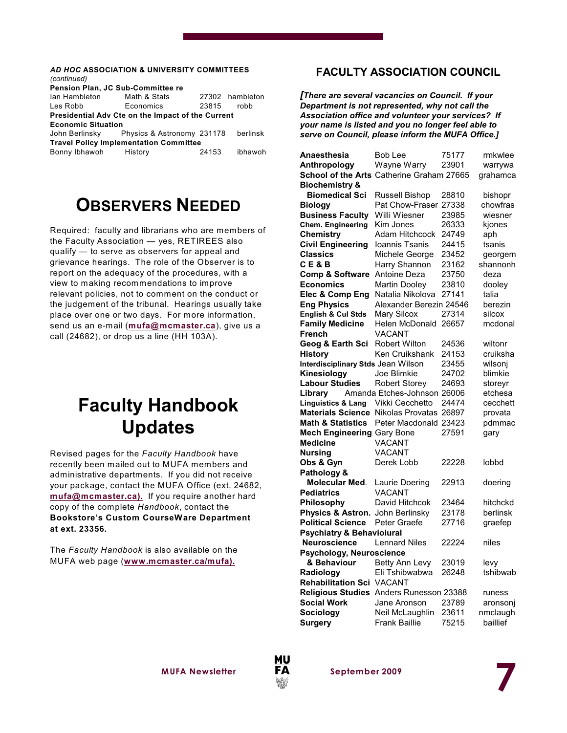#### *AD HOC* **ASSOCIATION & UNIVERSITY COMMITTEES** *(continued)* **Pension Plan, JC Sub-Committee re** Ian Hambleton Math & Stats 27302 hambleton Les Robb Economics 23815 robb **Presidential Adv Cte on the Impact of the Current Economic Situation** John Berlinsky Physics & Astronomy 231178 berlinsk **Travel Policy Implementation Committee** Bonny Ibhawoh History 24153 ibhawoh

# **OBSERVERS NEEDED**

Required: faculty and librarians who are members of the Faculty Association — yes, RETIREES also qualify — to serve as observers for appeal and grievance hearings. The role of the Observer is to report on the adequacy of the procedures, with a view to making recommendations to improve relevant policies, not to comment on the conduct or the judgement of the tribunal. Hearings usually take place over one or two days. For more information, send us an e-mail (**[mufa@mcmaster.ca](mailto:mufa@mcmaster.ca),)**), give us a call (24682), or drop us a line (HH 103A).

# **Faculty Handbook Updates**

Revised pages for the *Faculty Handbook* have recently been mailed out to MUFA members and administrative departments. If you did not receive your package, contact the MUFA Office (ext. 24682, **[mufa@mcmaster.ca\).](mailto:mufa@mcmaster.ca).)** If you require another hard copy of the complete *Handbook*, contact the **Bookstore's Custom CourseWare Department at ext. 23356.**

The *Faculty Handbook* is also available on the MUFA web page (**[www.mcmaster.ca/mufa\).](http://www.mcmaster.ca/mufa).)**

### **FACULTY ASSOCIATION COUNCIL**

*[There are several vacancies on Council. If your Department is not represented, why not call the Association office and volunteer your services? If your name is listed and you no longer feel able to serve on Council, please inform the MUFA Office.]*

| Anaesthesia                                      | <b>Bob Lee</b>          | 75177 | rmkwlee  |
|--------------------------------------------------|-------------------------|-------|----------|
| Anthropology                                     | Wayne Warry             | 23901 | warrywa  |
| <b>School of the Arts Catherine Graham 27665</b> |                         |       | grahamca |
| <b>Biochemistry &amp;</b>                        |                         |       |          |
| <b>Biomedical Sci</b>                            | Russell Bishop          | 28810 | bishopr  |
| <b>Biology</b>                                   | Pat Chow-Fraser         | 27338 | chowfras |
| <b>Business Faculty</b>                          | Willi Wiesner           | 23985 | wiesner  |
| <b>Chem. Engineering</b>                         | Kim Jones               | 26333 | kiones   |
| <b>Chemistry</b>                                 | Adam Hitchcock          | 24749 | aph      |
| <b>Civil Engineering</b>                         | Ioannis Tsanis          | 24415 | tsanis   |
| <b>Classics</b>                                  | Michele George          | 23452 | georgem  |
| CE&B                                             | Harry Shannon           | 23162 | shannonh |
| <b>Comp &amp; Software</b>                       | Antoine Deza            | 23750 | deza     |
| <b>Economics</b>                                 | <b>Martin Dooley</b>    | 23810 | dooley   |
| Elec & Comp Eng                                  | Natalia Nikolova        | 27141 | talia    |
| <b>Eng Physics</b>                               | Alexander Berezin 24546 |       | berezin  |
| English & Cul Stds                               | Mary Silcox             | 27314 | silcox   |
| <b>Family Medicine</b>                           | Helen McDonald          | 26657 | mcdonal  |
| French                                           | VACANT                  |       |          |
| Geog & Earth Sci                                 | <b>Robert Wilton</b>    | 24536 | wiltonr  |
| History                                          | Ken Cruikshank          | 24153 | cruiksha |
| Interdisciplinary Stds Jean Wilson               |                         | 23455 | wilsonj  |
| Kinesiology                                      | Joe Blimkie             | 24702 | blimkie  |
| <b>Labour Studies</b>                            | <b>Robert Storey</b>    | 24693 | storeyr  |
| Library                                          | Amanda Etches-Johnson   | 26006 | etchesa  |
| <b>Linguistics &amp; Lang</b>                    | Vikki Cecchetto         | 24474 | cecchett |
| <b>Materials Science</b>                         | Nikolas Provatas        | 26897 | provata  |
| <b>Math &amp; Statistics</b>                     | Peter Macdonald 23423   |       | pdmmac   |
| <b>Mech Engineering Gary Bone</b>                |                         | 27591 | gary     |
| <b>Medicine</b>                                  | VACANT                  |       |          |
| <b>Nursing</b>                                   | VACANT                  |       |          |
| Obs & Gyn                                        | Derek Lobb              | 22228 | lobbd    |
| Pathology &                                      |                         |       |          |
| Molecular Med.                                   | Laurie Doering          | 22913 | doering  |
| <b>Pediatrics</b>                                | VACANT                  |       |          |
| Philosophy                                       | David Hitchcok          | 23464 | hitchckd |
| Physics & Astron.                                | John Berlinsky          | 23178 | berlinsk |
| <b>Political Science</b>                         | Peter Graefe            | 27716 | graefep  |
| <b>Psychiatry &amp; Behavioiural</b>             |                         |       |          |
| <b>Neuroscience</b>                              | <b>Lennard Niles</b>    | 22224 | niles    |
| Psychology, Neuroscience                         |                         |       |          |
| & Behaviour                                      | Betty Ann Levy          | 23019 | levy     |
| Radiology                                        | Eli Tshibwabwa          | 26248 | tshibwab |
| <b>Rehabilitation Sci</b>                        | <b>VACANT</b>           |       |          |
| <b>Religious Studies</b>                         | Anders Runesson 23388   |       | runess   |
| <b>Social Work</b>                               | Jane Aronson            | 23789 | aronsonj |
| <b>Sociology</b>                                 | Neil McLaughlin         | 23611 | nmclaugh |
| Suraerv                                          | Frank Baillie           | 75215 | baillief |

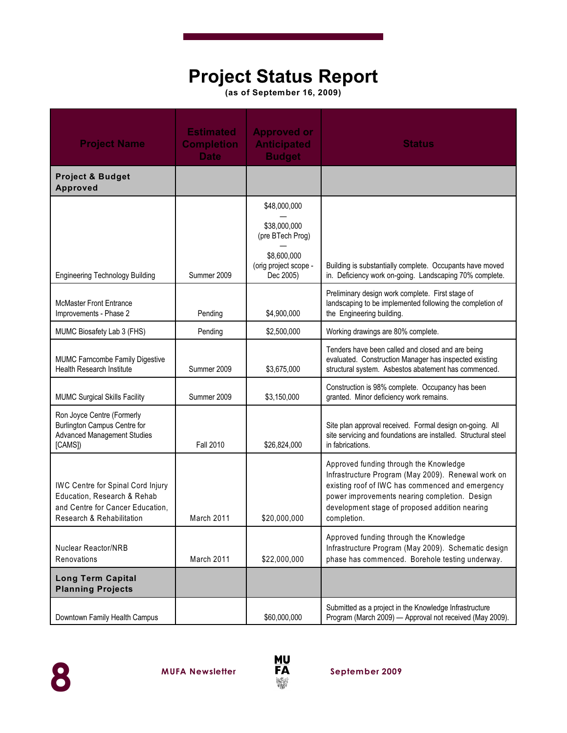# **Project Status Report**

**(as of September 16, 2009)**

| <b>Project Name</b>                                                                                                                      | <b>Estimated</b><br><b>Completion</b><br><b>Date</b> | <b>Approved or</b><br><b>Anticipated</b><br><b>Budget</b> | <b>Status</b>                                                                                                                                                                                                                                                      |
|------------------------------------------------------------------------------------------------------------------------------------------|------------------------------------------------------|-----------------------------------------------------------|--------------------------------------------------------------------------------------------------------------------------------------------------------------------------------------------------------------------------------------------------------------------|
| <b>Project &amp; Budget</b><br><b>Approved</b>                                                                                           |                                                      |                                                           |                                                                                                                                                                                                                                                                    |
|                                                                                                                                          |                                                      | \$48,000,000                                              |                                                                                                                                                                                                                                                                    |
|                                                                                                                                          |                                                      | \$38,000,000<br>(pre BTech Prog)                          |                                                                                                                                                                                                                                                                    |
| <b>Engineering Technology Building</b>                                                                                                   | Summer 2009                                          | \$8,600,000<br>(orig project scope -<br>Dec 2005)         | Building is substantially complete. Occupants have moved<br>in. Deficiency work on-going. Landscaping 70% complete.                                                                                                                                                |
| <b>McMaster Front Entrance</b><br>Improvements - Phase 2                                                                                 | Pending                                              | \$4,900,000                                               | Preliminary design work complete. First stage of<br>landscaping to be implemented following the completion of<br>the Engineering building.                                                                                                                         |
| MUMC Biosafety Lab 3 (FHS)                                                                                                               | Pending                                              | \$2,500,000                                               | Working drawings are 80% complete.                                                                                                                                                                                                                                 |
| MUMC Farncombe Family Digestive<br>Health Research Institute                                                                             | Summer 2009                                          | \$3,675,000                                               | Tenders have been called and closed and are being<br>evaluated. Construction Manager has inspected existing<br>structural system. Asbestos abatement has commenced.                                                                                                |
| <b>MUMC Surgical Skills Facility</b>                                                                                                     | Summer 2009                                          | \$3,150,000                                               | Construction is 98% complete. Occupancy has been<br>granted. Minor deficiency work remains.                                                                                                                                                                        |
| Ron Joyce Centre (Formerly<br>Burlington Campus Centre for<br><b>Advanced Management Studies</b><br>[CAMS])                              | Fall 2010                                            | \$26,824,000                                              | Site plan approval received. Formal design on-going. All<br>site servicing and foundations are installed. Structural steel<br>in fabrications.                                                                                                                     |
| <b>IWC Centre for Spinal Cord Injury</b><br>Education, Research & Rehab<br>and Centre for Cancer Education,<br>Research & Rehabilitation | March 2011                                           | \$20,000,000                                              | Approved funding through the Knowledge<br>Infrastructure Program (May 2009). Renewal work on<br>existing roof of IWC has commenced and emergency<br>power improvements nearing completion. Design<br>development stage of proposed addition nearing<br>completion. |
| <b>Nuclear Reactor/NRB</b><br>Renovations                                                                                                | March 2011                                           | \$22,000,000                                              | Approved funding through the Knowledge<br>Infrastructure Program (May 2009). Schematic design<br>phase has commenced. Borehole testing underway.                                                                                                                   |
| <b>Long Term Capital</b><br><b>Planning Projects</b>                                                                                     |                                                      |                                                           |                                                                                                                                                                                                                                                                    |
| Downtown Family Health Campus                                                                                                            |                                                      | \$60,000,000                                              | Submitted as a project in the Knowledge Infrastructure<br>Program (March 2009) - Approval not received (May 2009).                                                                                                                                                 |



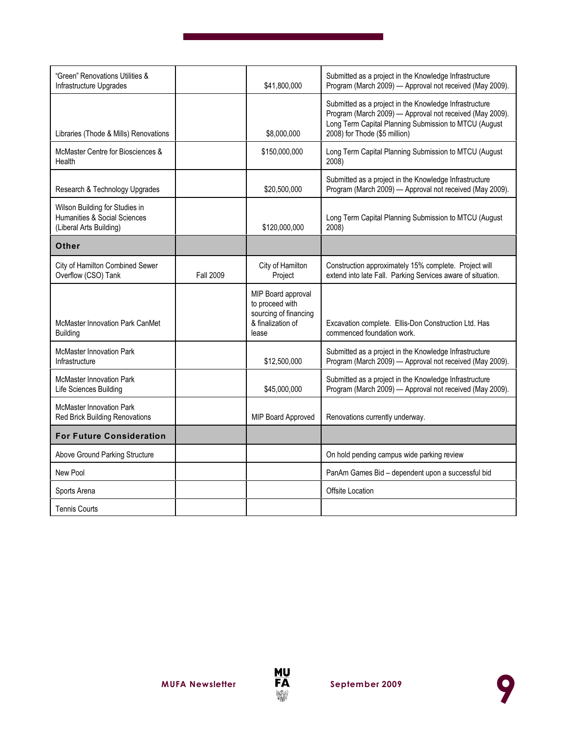| "Green" Renovations Utilities &<br>Infrastructure Upgrades                                |                  | \$41,800,000                                                                                 | Submitted as a project in the Knowledge Infrastructure<br>Program (March 2009) - Approval not received (May 2009).                                                                                           |
|-------------------------------------------------------------------------------------------|------------------|----------------------------------------------------------------------------------------------|--------------------------------------------------------------------------------------------------------------------------------------------------------------------------------------------------------------|
| Libraries (Thode & Mills) Renovations                                                     |                  | \$8,000,000                                                                                  | Submitted as a project in the Knowledge Infrastructure<br>Program (March 2009) - Approval not received (May 2009).<br>Long Term Capital Planning Submission to MTCU (August<br>2008) for Thode (\$5 million) |
| McMaster Centre for Biosciences &<br>Health                                               |                  | \$150,000,000                                                                                | Long Term Capital Planning Submission to MTCU (August<br>2008)                                                                                                                                               |
| Research & Technology Upgrades                                                            |                  | \$20,500,000                                                                                 | Submitted as a project in the Knowledge Infrastructure<br>Program (March 2009) - Approval not received (May 2009).                                                                                           |
| Wilson Building for Studies in<br>Humanities & Social Sciences<br>(Liberal Arts Building) |                  | \$120,000,000                                                                                | Long Term Capital Planning Submission to MTCU (August<br>2008)                                                                                                                                               |
| Other                                                                                     |                  |                                                                                              |                                                                                                                                                                                                              |
| City of Hamilton Combined Sewer<br>Overflow (CSO) Tank                                    | <b>Fall 2009</b> | City of Hamilton<br>Project                                                                  | Construction approximately 15% complete. Project will<br>extend into late Fall. Parking Services aware of situation.                                                                                         |
| <b>McMaster Innovation Park CanMet</b><br><b>Building</b>                                 |                  | MIP Board approval<br>to proceed with<br>sourcing of financing<br>& finalization of<br>lease | Excavation complete. Ellis-Don Construction Ltd. Has<br>commenced foundation work.                                                                                                                           |
| <b>McMaster Innovation Park</b><br>Infrastructure                                         |                  | \$12,500,000                                                                                 | Submitted as a project in the Knowledge Infrastructure<br>Program (March 2009) - Approval not received (May 2009).                                                                                           |
| McMaster Innovation Park<br>Life Sciences Building                                        |                  | \$45,000,000                                                                                 | Submitted as a project in the Knowledge Infrastructure<br>Program (March 2009) - Approval not received (May 2009).                                                                                           |
| <b>McMaster Innovation Park</b><br><b>Red Brick Building Renovations</b>                  |                  | MIP Board Approved                                                                           | Renovations currently underway.                                                                                                                                                                              |
| <b>For Future Consideration</b>                                                           |                  |                                                                                              |                                                                                                                                                                                                              |
| Above Ground Parking Structure                                                            |                  |                                                                                              | On hold pending campus wide parking review                                                                                                                                                                   |
| New Pool                                                                                  |                  |                                                                                              | PanAm Games Bid - dependent upon a successful bid                                                                                                                                                            |
| Sports Arena                                                                              |                  |                                                                                              | Offsite Location                                                                                                                                                                                             |
| <b>Tennis Courts</b>                                                                      |                  |                                                                                              |                                                                                                                                                                                                              |